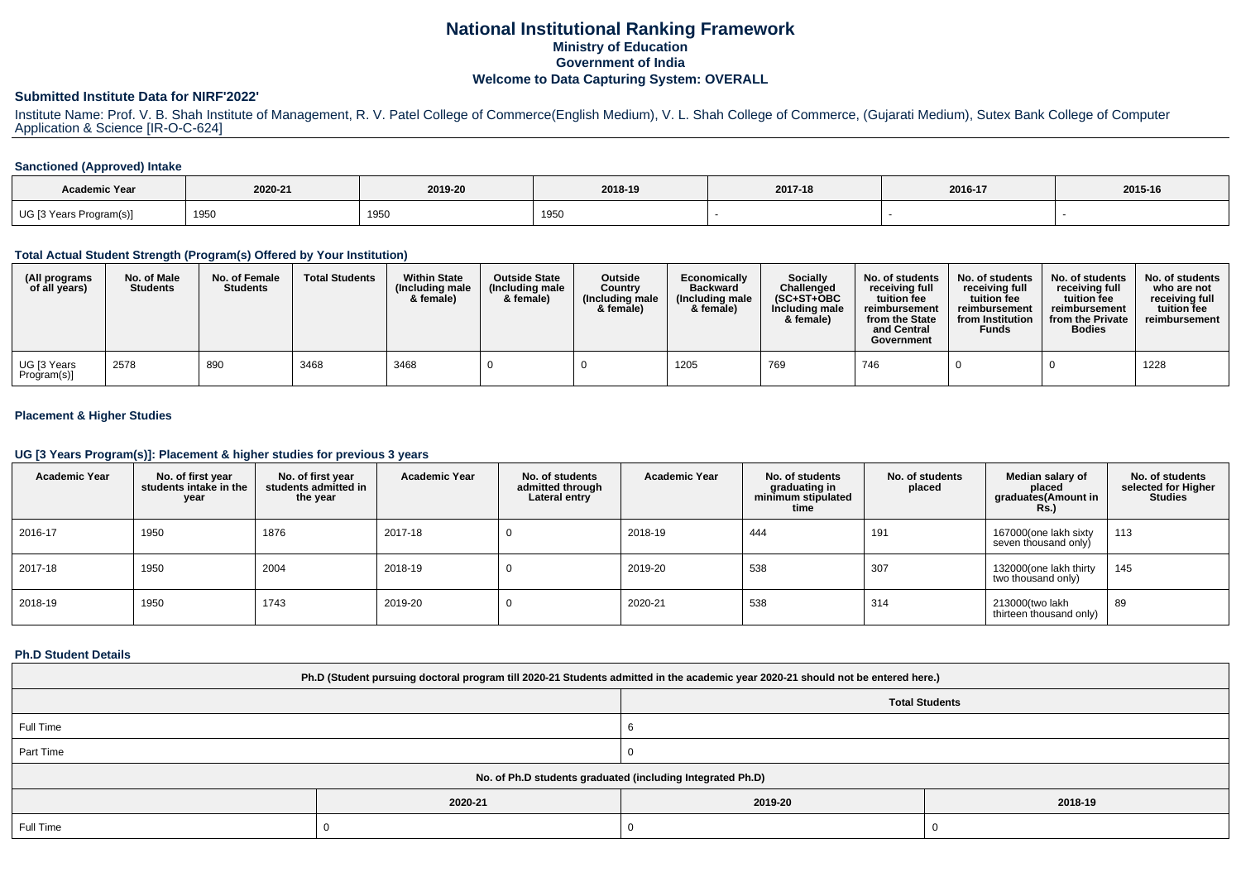## **National Institutional Ranking FrameworkMinistry of Education Government of IndiaWelcome to Data Capturing System: OVERALL**

#### **Submitted Institute Data for NIRF'2022'**

Institute Name: Prof. V. B. Shah Institute of Management, R. V. Patel College of Commerce(English Medium), V. L. Shah College of Commerce, (Gujarati Medium), Sutex Bank College of Computer Application & Science [IR-O-C-624]

#### **Sanctioned (Approved) Intake**

| <b>Academic Year</b>    | 2020-21 | 2019-20 | 2018-19 | 2017-18 | 2016-17 | 2015-16 |
|-------------------------|---------|---------|---------|---------|---------|---------|
| UG [3 Years Program(s)] | 1950    | 1950    | 1950    |         |         |         |

#### **Total Actual Student Strength (Program(s) Offered by Your Institution)**

| (All programs<br>of all years) | No. of Male<br><b>Students</b> | No. of Female<br><b>Students</b> | <b>Total Students</b> | <b>Within State</b><br>(Including male<br>& female) | <b>Outside State</b><br>(Including male<br>& female) | <b>Outside</b><br>Country<br>(Including male<br>& female) | Economically<br><b>Backward</b><br>(Including male<br>& female) | Socially<br>Challenged<br>(SC+ST+OBC<br>Including male<br>& female) | No. of students<br>receivina full<br>tuition fee<br>reimbursement<br>from the State<br>and Central<br>Government | No. of students<br>receiving full<br>tuition fee<br>reimbursement<br>from Institution<br><b>Funds</b> | No. of students<br>receivina full<br>tuition fee<br>reimbursement<br>from the Private<br><b>Bodies</b> | No. of students<br>who are not<br>receiving full<br>tuition fee<br>reimbursement |
|--------------------------------|--------------------------------|----------------------------------|-----------------------|-----------------------------------------------------|------------------------------------------------------|-----------------------------------------------------------|-----------------------------------------------------------------|---------------------------------------------------------------------|------------------------------------------------------------------------------------------------------------------|-------------------------------------------------------------------------------------------------------|--------------------------------------------------------------------------------------------------------|----------------------------------------------------------------------------------|
| UG [3 Years<br>Program(s)]     | 2578                           | 890                              | 3468                  | 3468                                                |                                                      |                                                           | 1205                                                            | 769                                                                 | 746                                                                                                              |                                                                                                       |                                                                                                        | 1228                                                                             |

#### **Placement & Higher Studies**

# **UG [3 Years Program(s)]: Placement & higher studies for previous 3 years**

| <b>Academic Year</b> | No. of first year<br>students intake in the<br>year | No. of first vear<br>students admitted in<br>the year | <b>Academic Year</b> | No. of students<br>admitted through<br>Lateral entry | <b>Academic Year</b> | No. of students<br>graduating in<br>minimum stipulated<br>time | No. of students<br>placed | Median salary of<br>placed<br>graduates(Amount in<br><b>Rs.)</b> | No. of students<br>selected for Higher<br><b>Studies</b> |
|----------------------|-----------------------------------------------------|-------------------------------------------------------|----------------------|------------------------------------------------------|----------------------|----------------------------------------------------------------|---------------------------|------------------------------------------------------------------|----------------------------------------------------------|
| 2016-17              | 1950                                                | 1876                                                  | 2017-18              | υ                                                    | 2018-19              | 444                                                            | 191                       | 167000(one lakh sixty<br>seven thousand only)                    | 113                                                      |
| 2017-18              | 1950                                                | 2004                                                  | 2018-19              | υ                                                    | 2019-20              | 538                                                            | 307                       | 132000(one lakh thirty<br>two thousand only)                     | 145                                                      |
| 2018-19              | 1950                                                | 1743                                                  | 2019-20              | υ                                                    | 2020-21              | 538                                                            | 314                       | 213000(two lakh<br>thirteen thousand only)                       | 89                                                       |

#### **Ph.D Student Details**

| Ph.D (Student pursuing doctoral program till 2020-21 Students admitted in the academic year 2020-21 should not be entered here.) |         |                       |         |  |  |
|----------------------------------------------------------------------------------------------------------------------------------|---------|-----------------------|---------|--|--|
|                                                                                                                                  |         | <b>Total Students</b> |         |  |  |
| Full Time                                                                                                                        |         |                       |         |  |  |
| Part Time                                                                                                                        |         |                       |         |  |  |
| No. of Ph.D students graduated (including Integrated Ph.D)                                                                       |         |                       |         |  |  |
|                                                                                                                                  | 2020-21 | 2019-20               | 2018-19 |  |  |
| Full Time                                                                                                                        |         |                       |         |  |  |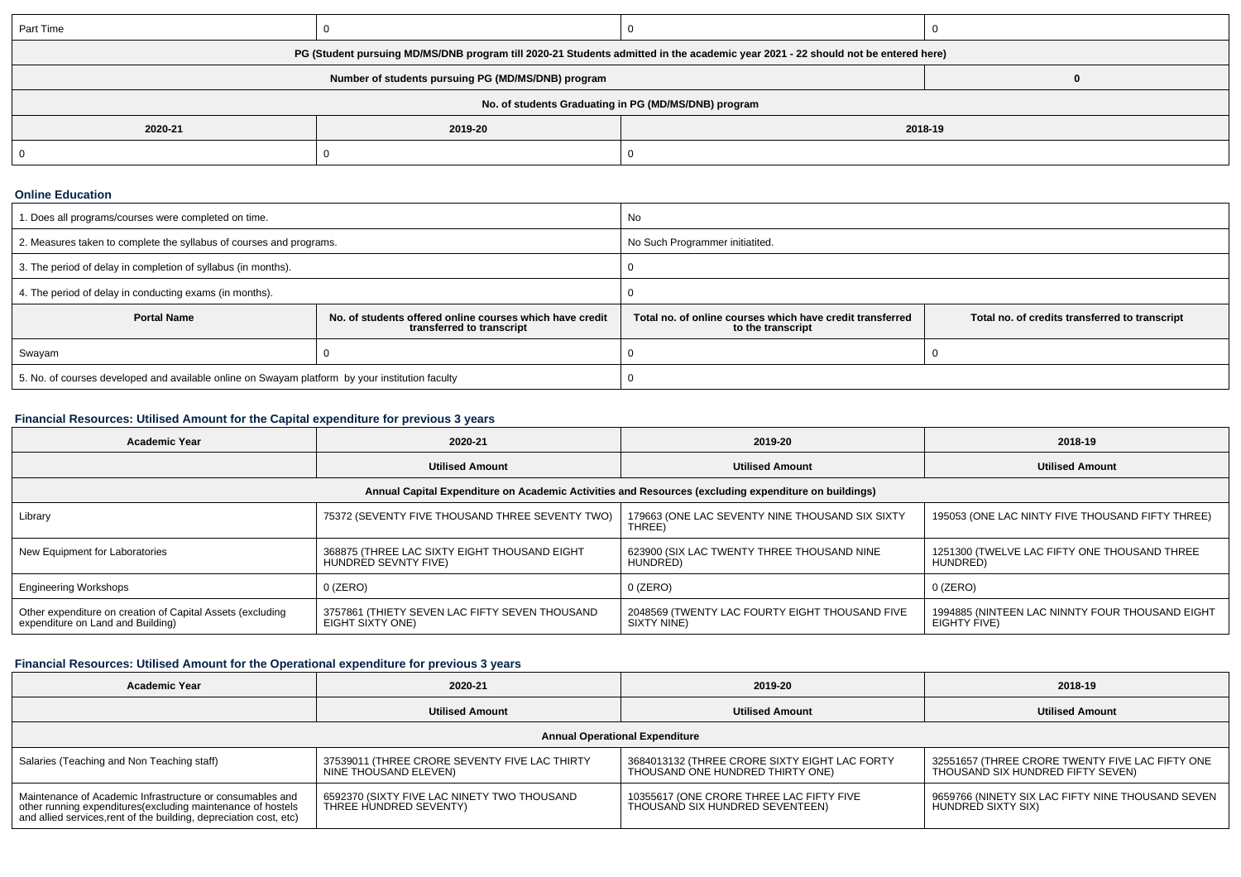| Part Time                                                                                                                        |                                                      |         |  |  |  |  |
|----------------------------------------------------------------------------------------------------------------------------------|------------------------------------------------------|---------|--|--|--|--|
| PG (Student pursuing MD/MS/DNB program till 2020-21 Students admitted in the academic year 2021 - 22 should not be entered here) |                                                      |         |  |  |  |  |
| Number of students pursuing PG (MD/MS/DNB) program                                                                               |                                                      |         |  |  |  |  |
|                                                                                                                                  | No. of students Graduating in PG (MD/MS/DNB) program |         |  |  |  |  |
| 2020-21                                                                                                                          | 2019-20                                              | 2018-19 |  |  |  |  |
|                                                                                                                                  |                                                      |         |  |  |  |  |

#### **Online Education**

| I. Does all programs/courses were completed on time.                                            |                                                                                       | No                                                                             |                                                |  |
|-------------------------------------------------------------------------------------------------|---------------------------------------------------------------------------------------|--------------------------------------------------------------------------------|------------------------------------------------|--|
| 2. Measures taken to complete the syllabus of courses and programs.                             |                                                                                       | No Such Programmer initiatited.                                                |                                                |  |
| 3. The period of delay in completion of syllabus (in months).                                   |                                                                                       |                                                                                |                                                |  |
| 4. The period of delay in conducting exams (in months).                                         |                                                                                       |                                                                                |                                                |  |
| <b>Portal Name</b>                                                                              | No. of students offered online courses which have credit<br>transferred to transcript | Total no, of online courses which have credit transferred<br>to the transcript | Total no. of credits transferred to transcript |  |
| Swayam                                                                                          |                                                                                       |                                                                                |                                                |  |
| 5. No. of courses developed and available online on Swayam platform by your institution faculty |                                                                                       |                                                                                |                                                |  |

## **Financial Resources: Utilised Amount for the Capital expenditure for previous 3 years**

| <b>Academic Year</b>                                                                                 | 2020-21                                                              | 2019-20                                                       | 2018-19                                                         |  |  |  |
|------------------------------------------------------------------------------------------------------|----------------------------------------------------------------------|---------------------------------------------------------------|-----------------------------------------------------------------|--|--|--|
|                                                                                                      | <b>Utilised Amount</b>                                               | <b>Utilised Amount</b>                                        | <b>Utilised Amount</b>                                          |  |  |  |
| Annual Capital Expenditure on Academic Activities and Resources (excluding expenditure on buildings) |                                                                      |                                                               |                                                                 |  |  |  |
| Library                                                                                              | 75372 (SEVENTY FIVE THOUSAND THREE SEVENTY TWO)                      | 179663 (ONE LAC SEVENTY NINE THOUSAND SIX SIXTY<br>THREE)     | 195053 (ONE LAC NINTY FIVE THOUSAND FIFTY THREE)                |  |  |  |
| New Equipment for Laboratories                                                                       | 368875 (THREE LAC SIXTY EIGHT THOUSAND EIGHT<br>HUNDRED SEVNTY FIVE) | 623900 (SIX LAC TWENTY THREE THOUSAND NINE<br>HUNDRÈD)        | 1251300 (TWELVE LAC FIFTY ONE THOUSAND THREE<br>HUNDRED)        |  |  |  |
| <b>Engineering Workshops</b>                                                                         | $0$ (ZERO)                                                           | $0$ (ZERO)                                                    | $0$ (ZERO)                                                      |  |  |  |
| Other expenditure on creation of Capital Assets (excluding<br>expenditure on Land and Building)      | 3757861 (THIETY SEVEN LAC FIFTY SEVEN THOUSAND<br>EIGHT SIXTY ONE)   | 2048569 (TWENTY LAC FOURTY EIGHT THOUSAND FIVE<br>SIXTY NINE) | 1994885 (NINTEEN LAC NINNTY FOUR THOUSAND EIGHT<br>EIGHTY FIVE) |  |  |  |

## **Financial Resources: Utilised Amount for the Operational expenditure for previous 3 years**

| <b>Academic Year</b>                                                                                                                                                                            | 2020-21                                                                | 2019-20                                                                           | 2018-19                                                                              |  |  |  |
|-------------------------------------------------------------------------------------------------------------------------------------------------------------------------------------------------|------------------------------------------------------------------------|-----------------------------------------------------------------------------------|--------------------------------------------------------------------------------------|--|--|--|
|                                                                                                                                                                                                 | <b>Utilised Amount</b>                                                 | <b>Utilised Amount</b>                                                            | <b>Utilised Amount</b>                                                               |  |  |  |
| <b>Annual Operational Expenditure</b>                                                                                                                                                           |                                                                        |                                                                                   |                                                                                      |  |  |  |
| Salaries (Teaching and Non Teaching staff)                                                                                                                                                      | 37539011 (THREE CRORE SEVENTY FIVE LAC THIRTY<br>NINE THOUSAND ELEVEN) | 3684013132 (THREE CRORE SIXTY EIGHT LAC FORTY<br>THOUSAND ONE HUNDRED THIRTY ONE) | 32551657 (THREE CRORE TWENTY FIVE LAC FIFTY ONE<br>THOUSAND SIX HUNDRED FIFTY SEVEN) |  |  |  |
| Maintenance of Academic Infrastructure or consumables and<br>other running expenditures (excluding maintenance of hostels<br>and allied services, rent of the building, depreciation cost, etc) | 6592370 (SIXTY FIVE LAC NINETY TWO THOUSAND<br>THREE HUNDRED SEVENTY)  | 10355617 (ONE CRORE THREE LAC FIFTY FIVE<br>THOUSAND SIX HUNDRED SEVENTEEN)       | 9659766 (NINETY SIX LAC FIFTY NINE THOUSAND SEVEN<br>HUNDRED SIXTY SIX)              |  |  |  |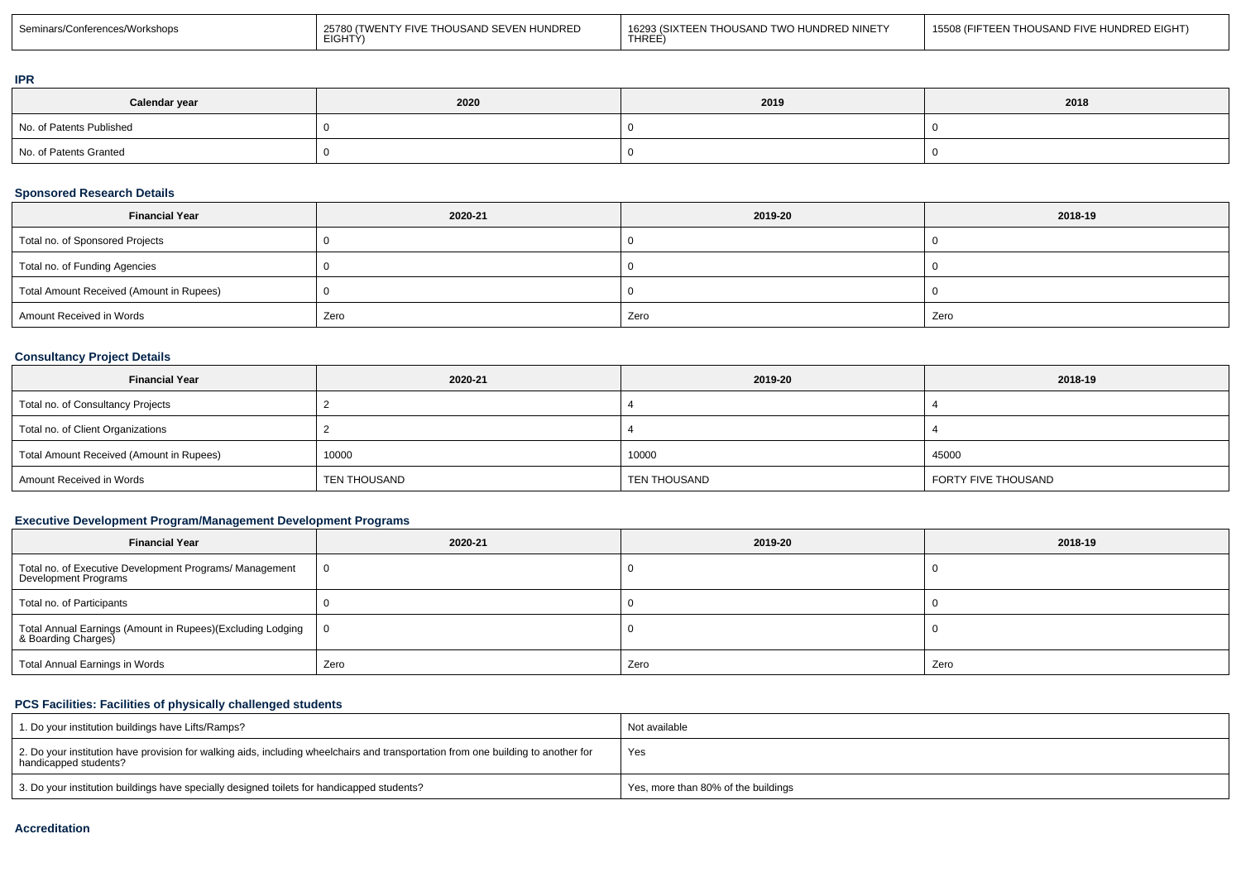| Seminars/Conferences/Workshops | 25780 (TWENTY FIVE THOUSAND SEVEN HUNDRED<br>EIGHTÝ) | 16293 (SIXTEEN THOUSAND TWO HUNDRED NINETY<br><b>THREE</b> | 15508 (FIFTEEN THOUSAND FIVE HUNDRED EIGHT) |
|--------------------------------|------------------------------------------------------|------------------------------------------------------------|---------------------------------------------|
|--------------------------------|------------------------------------------------------|------------------------------------------------------------|---------------------------------------------|

#### **IPR**

| Calendar year            | 2020 | 2019 | 2018 |
|--------------------------|------|------|------|
| No. of Patents Published |      |      |      |
| No. of Patents Granted   |      |      |      |

#### **Sponsored Research Details**

| <b>Financial Year</b>                    | 2020-21 | 2019-20 | 2018-19 |
|------------------------------------------|---------|---------|---------|
| Total no. of Sponsored Projects          |         |         |         |
| Total no. of Funding Agencies            |         |         |         |
| Total Amount Received (Amount in Rupees) |         |         |         |
| Amount Received in Words                 | Zero    | Zero    | Zero    |

## **Consultancy Project Details**

| <b>Financial Year</b>                    | 2020-21             | 2019-20             | 2018-19             |
|------------------------------------------|---------------------|---------------------|---------------------|
| Total no. of Consultancy Projects        |                     |                     |                     |
| Total no. of Client Organizations        |                     |                     |                     |
| Total Amount Received (Amount in Rupees) | 10000               | 10000               | 45000               |
| Amount Received in Words                 | <b>TEN THOUSAND</b> | <b>TEN THOUSAND</b> | FORTY FIVE THOUSAND |

## **Executive Development Program/Management Development Programs**

| <b>Financial Year</b>                                                               | 2020-21        | 2019-20 | 2018-19 |
|-------------------------------------------------------------------------------------|----------------|---------|---------|
| Total no. of Executive Development Programs/ Management<br>Development Programs     | $\overline{0}$ |         |         |
| Total no. of Participants                                                           |                |         |         |
| Total Annual Earnings (Amount in Rupees)(Excluding Lodging<br>  & Boarding Charges) | $\overline{0}$ |         |         |
| Total Annual Earnings in Words                                                      | Zero           | Zero    | Zero    |

## **PCS Facilities: Facilities of physically challenged students**

| 1. Do your institution buildings have Lifts/Ramps?                                                                                                         | Not available                       |
|------------------------------------------------------------------------------------------------------------------------------------------------------------|-------------------------------------|
| 2. Do your institution have provision for walking aids, including wheelchairs and transportation from one building to another for<br>handicapped students? | Yes                                 |
| 3. Do your institution buildings have specially designed toilets for handicapped students?                                                                 | Yes, more than 80% of the buildings |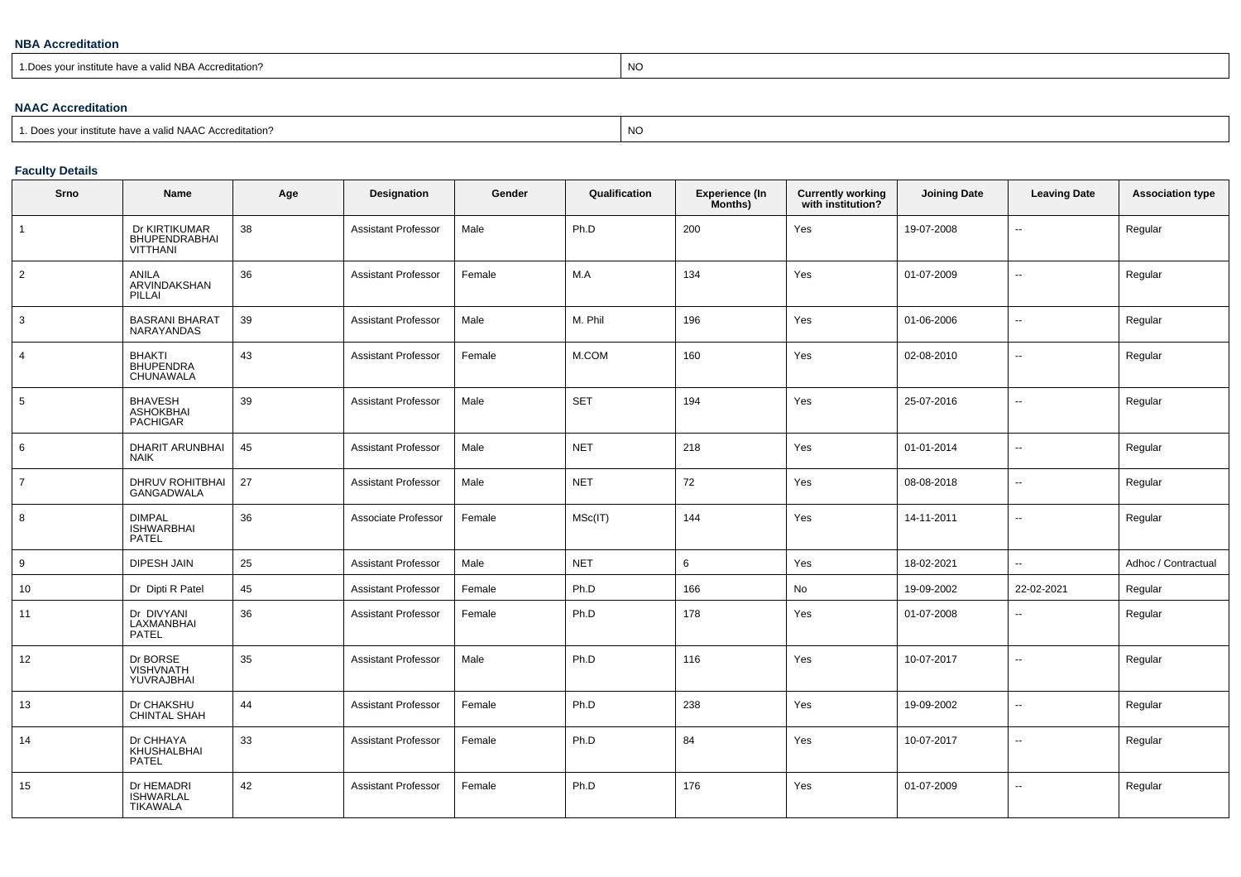#### **NBA Accreditation**

1.Does your institute have a valid NBA Accreditation?explorer than the contract of the contract of the contract of the contract of the contract of the contract of the contract of the contract of the contract of the contract of the contract of the contract of the contract of

### **NAAC Accreditation**

## **Faculty Details**

| Srno           | <b>Name</b>                                           | Age | Designation                | Gender | Qualification | <b>Experience (In</b><br>Months) | <b>Currently working</b><br>with institution? | <b>Joining Date</b> | <b>Leaving Date</b> | <b>Association type</b> |
|----------------|-------------------------------------------------------|-----|----------------------------|--------|---------------|----------------------------------|-----------------------------------------------|---------------------|---------------------|-------------------------|
|                | Dr KIRTIKUMAR<br>BHUPENDRABHAI<br><b>VITTHANI</b>     | 38  | <b>Assistant Professor</b> | Male   | Ph.D          | 200                              | Yes                                           | 19-07-2008          | $\sim$              | Regular                 |
| $\overline{2}$ | <b>ANILA</b><br>ARVINDAKSHAN<br>PILLAI                | 36  | <b>Assistant Professor</b> | Female | M.A           | 134                              | Yes                                           | 01-07-2009          | Ш,                  | Regular                 |
| 3              | <b>BASRANI BHARAT</b><br><b>NARAYANDAS</b>            | 39  | <b>Assistant Professor</b> | Male   | M. Phil       | 196                              | Yes                                           | 01-06-2006          | --                  | Regular                 |
| $\overline{4}$ | <b>BHAKTI</b><br><b>BHUPENDRA</b><br>CHUNAWALA        | 43  | <b>Assistant Professor</b> | Female | M.COM         | 160                              | Yes                                           | 02-08-2010          | --                  | Regular                 |
| 5              | <b>BHAVESH</b><br><b>ASHOKBHAI</b><br><b>PACHIGAR</b> | 39  | Assistant Professor        | Male   | <b>SET</b>    | 194                              | Yes                                           | 25-07-2016          | --                  | Regular                 |
| 6              | <b>DHARIT ARUNBHAI</b><br><b>NAIK</b>                 | 45  | <b>Assistant Professor</b> | Male   | <b>NET</b>    | 218                              | Yes                                           | 01-01-2014          | Ξ.                  | Regular                 |
| $\overline{7}$ | DHRUV ROHITBHAI<br><b>GANGADWALA</b>                  | 27  | <b>Assistant Professor</b> | Male   | <b>NET</b>    | 72                               | Yes                                           | 08-08-2018          | ⊷.                  | Regular                 |
| 8              | <b>DIMPAL</b><br><b>ISHWARBHAI</b><br><b>PATEL</b>    | 36  | Associate Professor        | Female | MSc(IT)       | 144                              | Yes                                           | 14-11-2011          | -−                  | Regular                 |
| 9              | <b>DIPESH JAIN</b>                                    | 25  | <b>Assistant Professor</b> | Male   | <b>NET</b>    | 6                                | Yes                                           | 18-02-2021          | Ξ.                  | Adhoc / Contractual     |
| 10             | Dr Dipti R Patel                                      | 45  | <b>Assistant Professor</b> | Female | Ph.D          | 166                              | No                                            | 19-09-2002          | 22-02-2021          | Regular                 |
| 11             | Dr DIVYANI<br>LAXMANBHAI<br><b>PATEL</b>              | 36  | <b>Assistant Professor</b> | Female | Ph.D          | 178                              | Yes                                           | 01-07-2008          | --                  | Regular                 |
| 12             | Dr BORSE<br><b>VISHVNATH</b><br>YUVRAJBHAI            | 35  | <b>Assistant Professor</b> | Male   | Ph.D          | 116                              | Yes                                           | 10-07-2017          | --                  | Regular                 |
| 13             | Dr CHAKSHU<br><b>CHINTAL SHAH</b>                     | 44  | <b>Assistant Professor</b> | Female | Ph.D          | 238                              | Yes                                           | 19-09-2002          | $\overline{a}$      | Regular                 |
| 14             | Dr CHHAYA<br>KHUSHALBHAI<br><b>PATEL</b>              | 33  | <b>Assistant Professor</b> | Female | Ph.D          | 84                               | Yes                                           | 10-07-2017          |                     | Regular                 |
| 15             | Dr HEMADRI<br><b>ISHWARLAL</b><br>TIKAWALA            | 42  | <b>Assistant Professor</b> | Female | Ph.D          | 176                              | Yes                                           | 01-07-2009          | $\overline{a}$      | Regular                 |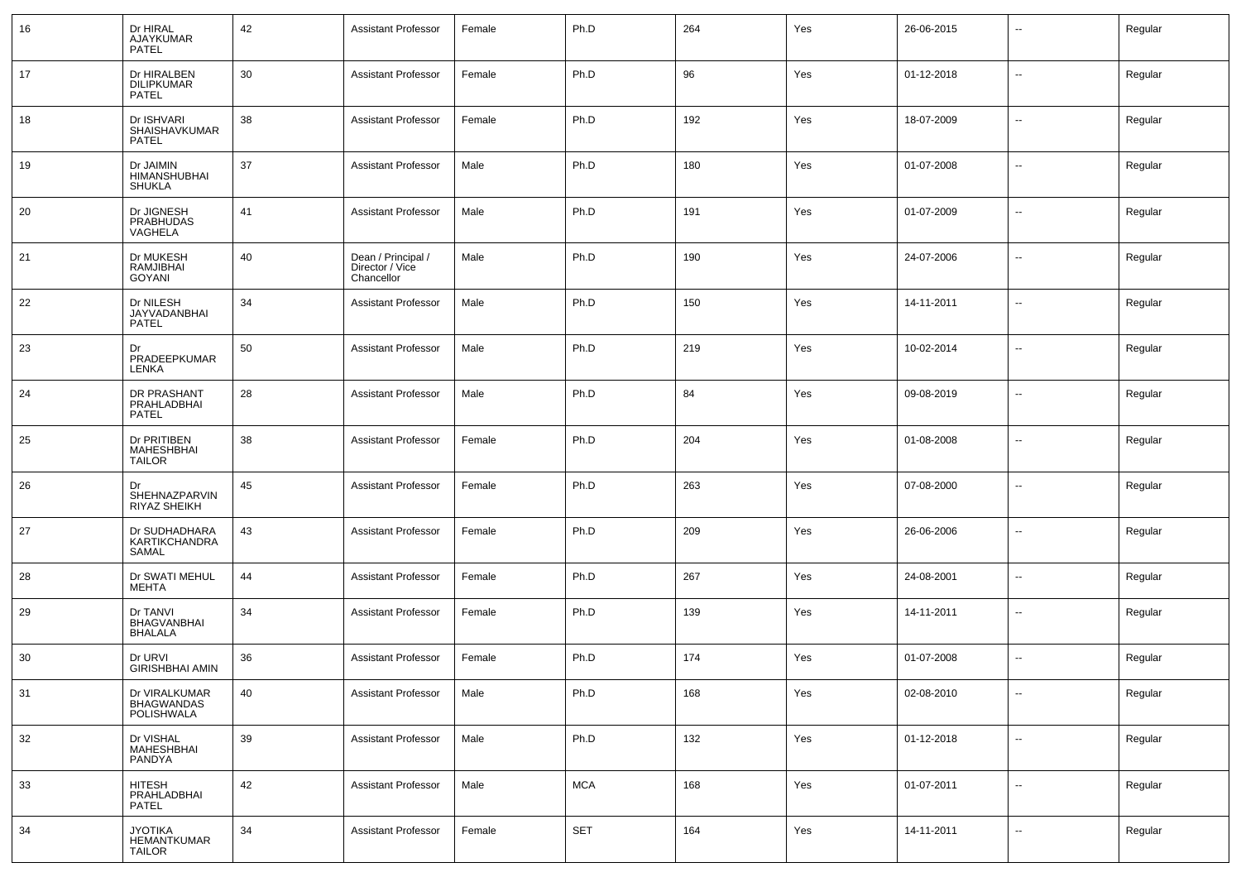| 16 | Dr HIRAL<br>AJAYKUMAR<br><b>PATEL</b>                 | 42 | <b>Assistant Professor</b>                          | Female | Ph.D       | 264 | Yes | 26-06-2015 | $\overline{\phantom{a}}$ | Regular |
|----|-------------------------------------------------------|----|-----------------------------------------------------|--------|------------|-----|-----|------------|--------------------------|---------|
| 17 | Dr HIRALBEN<br><b>DILIPKUMAR</b><br>PATEL             | 30 | <b>Assistant Professor</b>                          | Female | Ph.D       | 96  | Yes | 01-12-2018 | $\sim$                   | Regular |
| 18 | Dr ISHVARI<br>SHAISHAVKUMAR<br><b>PATEL</b>           | 38 | <b>Assistant Professor</b>                          | Female | Ph.D       | 192 | Yes | 18-07-2009 | $\overline{\phantom{a}}$ | Regular |
| 19 | Dr JAIMIN<br>HIMANSHUBHAI<br><b>SHUKLA</b>            | 37 | <b>Assistant Professor</b>                          | Male   | Ph.D       | 180 | Yes | 01-07-2008 | $\overline{\phantom{a}}$ | Regular |
| 20 | Dr JIGNESH<br><b>PRABHUDAS</b><br>VAGHELA             | 41 | <b>Assistant Professor</b>                          | Male   | Ph.D       | 191 | Yes | 01-07-2009 | $\overline{\phantom{a}}$ | Regular |
| 21 | Dr MUKESH<br>RAMJIBHAI<br>GOYANI                      | 40 | Dean / Principal /<br>Director / Vice<br>Chancellor | Male   | Ph.D       | 190 | Yes | 24-07-2006 | $\overline{\phantom{a}}$ | Regular |
| 22 | Dr NILESH<br>JAYVADANBHAI<br><b>PATEL</b>             | 34 | <b>Assistant Professor</b>                          | Male   | Ph.D       | 150 | Yes | 14-11-2011 | $\overline{\phantom{a}}$ | Regular |
| 23 | Dr<br>PRADEEPKUMAR<br>LENKA                           | 50 | <b>Assistant Professor</b>                          | Male   | Ph.D       | 219 | Yes | 10-02-2014 | $\overline{\phantom{a}}$ | Regular |
| 24 | DR PRASHANT<br>PRAHLADBHAI<br><b>PATEL</b>            | 28 | <b>Assistant Professor</b>                          | Male   | Ph.D       | 84  | Yes | 09-08-2019 | $\overline{\phantom{a}}$ | Regular |
| 25 | Dr PRITIBEN<br>MAHESHBHAI<br><b>TAILOR</b>            | 38 | <b>Assistant Professor</b>                          | Female | Ph.D       | 204 | Yes | 01-08-2008 | $\overline{\phantom{a}}$ | Regular |
| 26 | Dr<br>SHEHNAZPARVIN<br>RIYAZ SHEIKH                   | 45 | <b>Assistant Professor</b>                          | Female | Ph.D       | 263 | Yes | 07-08-2000 | $\overline{\phantom{a}}$ | Regular |
| 27 | Dr SUDHADHARA<br><b>KARTIKCHANDRA</b><br>SAMAL        | 43 | <b>Assistant Professor</b>                          | Female | Ph.D       | 209 | Yes | 26-06-2006 | $\overline{\phantom{a}}$ | Regular |
| 28 | Dr SWATI MEHUL<br><b>MEHTA</b>                        | 44 | <b>Assistant Professor</b>                          | Female | Ph.D       | 267 | Yes | 24-08-2001 | $\overline{\phantom{a}}$ | Regular |
| 29 | Dr TANVI<br><b>BHAGVANBHAI</b><br><b>BHALALA</b>      | 34 | <b>Assistant Professor</b>                          | Female | Ph.D       | 139 | Yes | 14-11-2011 | $\overline{\phantom{a}}$ | Regular |
| 30 | Dr URVI<br><b>GIRISHBHAI AMIN</b>                     | 36 | <b>Assistant Professor</b>                          | Female | Ph.D       | 174 | Yes | 01-07-2008 | $\overline{\phantom{a}}$ | Regular |
| 31 | Dr VIRALKUMAR<br><b>BHAGWANDAS</b><br>POLISHWALA      | 40 | <b>Assistant Professor</b>                          | Male   | Ph.D       | 168 | Yes | 02-08-2010 | $\overline{\phantom{a}}$ | Regular |
| 32 | Dr VISHAL<br>MAHESHBHAI<br>PANDYA                     | 39 | <b>Assistant Professor</b>                          | Male   | Ph.D       | 132 | Yes | 01-12-2018 | $\sim$                   | Regular |
| 33 | <b>HITESH</b><br>PRAHLADBHAI<br>PATEL                 | 42 | <b>Assistant Professor</b>                          | Male   | <b>MCA</b> | 168 | Yes | 01-07-2011 | $\overline{\phantom{a}}$ | Regular |
| 34 | <b>JYOTIKA</b><br><b>HEMANTKUMAR</b><br><b>TAILOR</b> | 34 | <b>Assistant Professor</b>                          | Female | <b>SET</b> | 164 | Yes | 14-11-2011 | $\overline{\phantom{a}}$ | Regular |